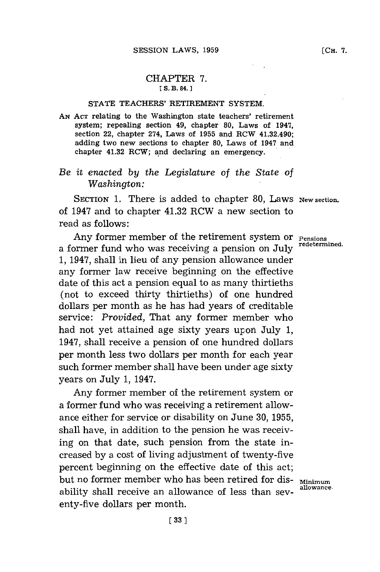## CHAPTER **7. [ S. B. 84.]1**

## **STATE TEACHERS'** RETIREMENT **SYSTEM.**

**AN ACT** relating to the Washington state teachers' retirement system; repealing section 49, chapter **80,** Laws of 1947, section 22, chapter 274, Laws of **1955** and RCW 41.32.490; adding two new sections to chapter **80,** Laws of 1947 and chapter 41.32 RCW; and declaring an emergency.

## *Be it enacted by the Legislature of the State of Washington:*

SECTION 1. There is added to chapter 80, Laws New section. of 1947 and to chapter 41.32 RCW a new section to read as follows:

Any former member of the retirement system or **Pensions** redetermined. a former fund who was receiving a pension on **July 1,** 1947, shall in lieu of any pension allowance under any former law receive beginning on the effective date of this act a pension equal to as many thirtieths (not to exceed thirty thirtieths) of one hundred dollars per month as he has had years of creditable service: *Provided,* That any former member who had not yet attained age sixty years upon July **1,** 1947, shall receive a pension of one hundred dollars per month less two dollars per month for each year such former member shall have been under age sixty years on July **1,** 1947.

Any former member of the retirement system or a former fund who was receiving a retirement allowance either for service or disability on June **30, 1955,** shall have, in addition to the pension he was receiving on that date, such pension from the state increased **by** a cost of living adjustment of twenty-five percent beginning on the effective date of this act; but no former member who has been retired for dis-<br>allowance. ability shall receive an allowance of less than seventy-five dollars per month.